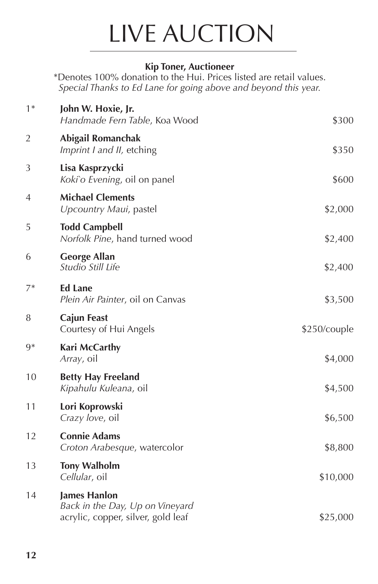## LIVE AUCTION

## **Kip Toner, Auctioneer**

\*Denotes 100% donation to the Hui. Prices listed are retail values. *Special Thanks to Ed Lane for going above and beyond this year.*

| $1*$           | John W. Hoxie, Jr.<br>Handmade Fern Table, Koa Wood                                          | \$300        |
|----------------|----------------------------------------------------------------------------------------------|--------------|
| $\overline{2}$ | Abigail Romanchak<br>Imprint I and II, etching                                               | \$350        |
| 3              | Lisa Kasprzycki<br>Koki`o Evening, oil on panel                                              | \$600        |
| 4              | <b>Michael Clements</b><br>Upcountry Maui, pastel                                            | \$2,000      |
| 5              | <b>Todd Campbell</b><br>Norfolk Pine, hand turned wood                                       | \$2,400      |
| 6              | <b>George Allan</b><br>Studio Still Life                                                     | \$2,400      |
| $7*$           | <b>Ed Lane</b><br>Plein Air Painter, oil on Canvas                                           | \$3,500      |
| 8              | <b>Cajun Feast</b><br>Courtesy of Hui Angels                                                 | \$250/couple |
| $9*$           | Kari McCarthy<br>Array, oil                                                                  | \$4,000      |
| 10             | <b>Betty Hay Freeland</b><br>Kipahulu Kuleana, oil                                           | \$4,500      |
| 11             | Lori Koprowski<br>Crazy love, oil                                                            | \$6,500      |
| 12             | <b>Connie Adams</b><br>Croton Arabesque, watercolor                                          | \$8,800      |
| 13             | <b>Tony Walholm</b><br>Cellular, oil                                                         | \$10,000     |
| 14             | <b>James Hanlon</b><br>Back in the Day, Up on Vineyard<br>acrylic, copper, silver, gold leaf | \$25,000     |